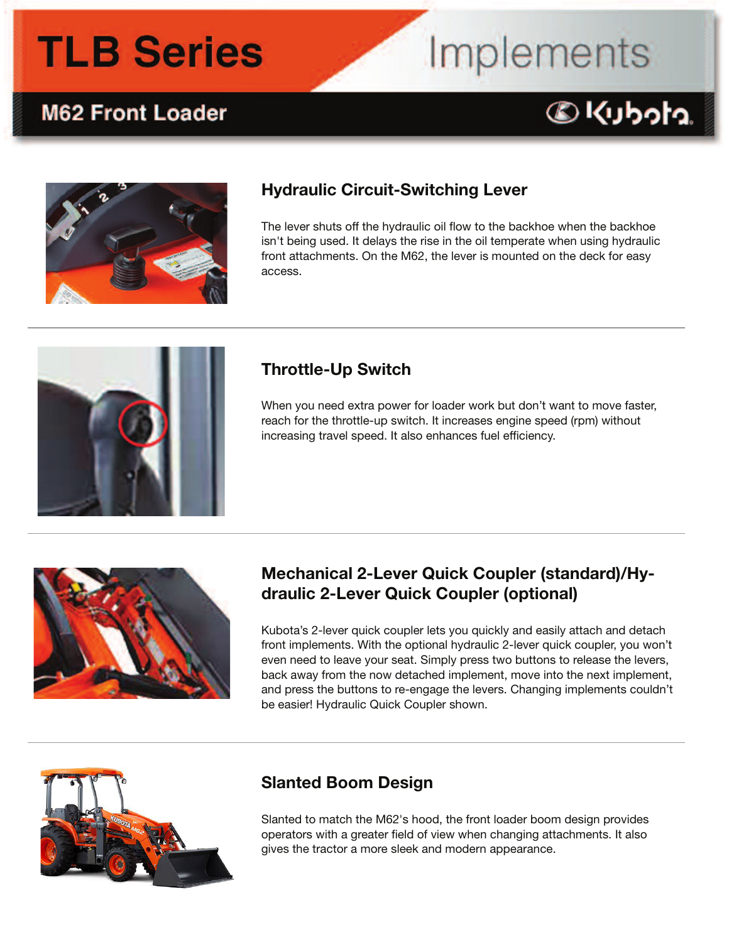### **M62 Front Loader**

## Implements





#### **Hydraulic Circuit-Switching Lever**

The lever shuts off the hydraulic oil flow to the backhoe when the backhoe isn't being used. It delays the rise in the oil temperate when using hydraulic front attachments. On the M62, the lever is mounted on the deck for easy access.



#### **Throttle-Up Switch**

When you need extra power for loader work but don't want to move faster, reach for the throttle-up switch. It increases engine speed (rpm) without increasing travel speed. It also enhances fuel efficiency.



### **Mechanical 2-Lever Quick Coupler (standard)/Hydraulic 2-Lever Quick Coupler (optional)**

Kubota's 2-lever quick coupler lets you quickly and easily attach and detach front implements. With the optional hydraulic 2-lever quick coupler, you won't even need to leave your seat. Simply press two buttons to release the levers, back away from the now detached implement, move into the next implement, and press the buttons to re-engage the levers. Changing implements couldn't be easier! Hydraulic Quick Coupler shown.



### **Slanted Boom Design**

Slanted to match the M62's hood, the front loader boom design provides operators with a greater field of view when changing attachments. It also gives the tractor a more sleek and modern appearance.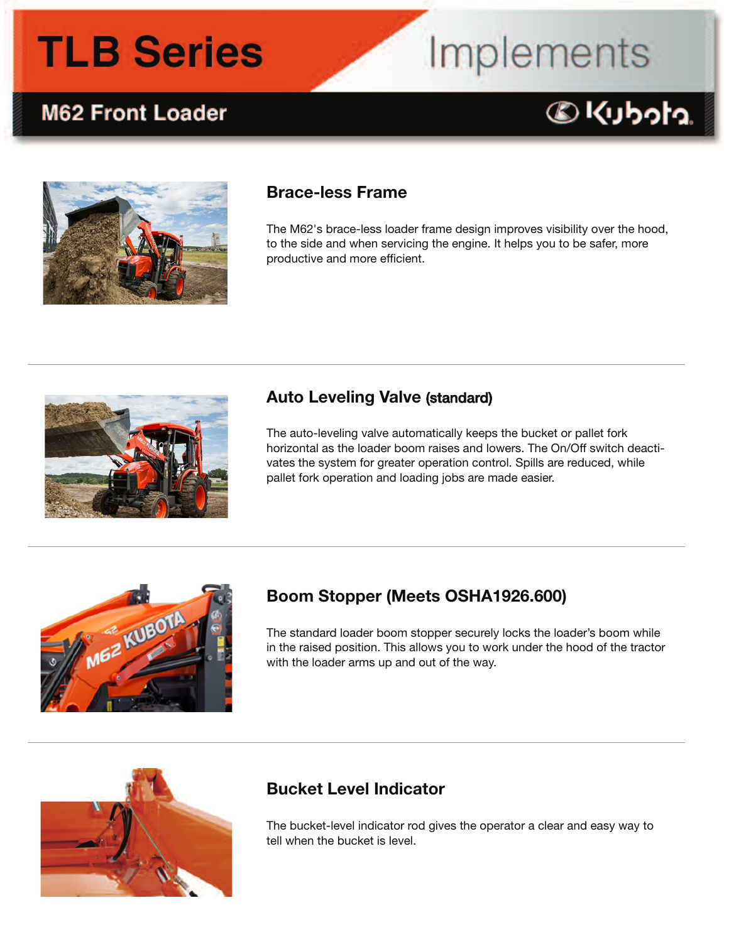# Implements

### **M62 Front Loader**

### C Kubota



### **Brace-less Frame**

The M62's brace-less loader frame design improves visibility over the hood, to the side and when servicing the engine. It helps you to be safer, more productive and more efficient.



### **Auto Leveling Valve (standard)**

The auto-leveling valve automatically keeps the bucket or pallet fork horizontal as the loader boom raises and lowers. The On/Off switch deactivates the system for greater operation control. Spills are reduced, while pallet fork operation and loading jobs are made easier.



### **Boom Stopper (Meets OSHA1926.600)**

The standard loader boom stopper securely locks the loader's boom while in the raised position. This allows you to work under the hood of the tractor with the loader arms up and out of the way.



### **Bucket Level Indicator**

The bucket-level indicator rod gives the operator a clear and easy way to tell when the bucket is level.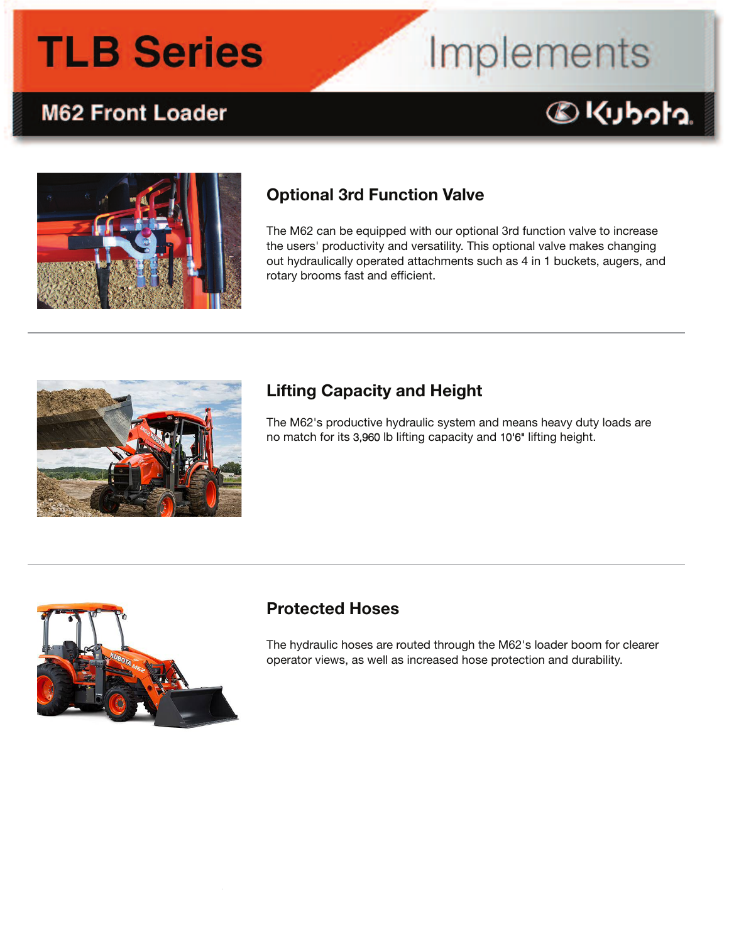# Implements

### Colcubota.



**M62 Front Loader** 

### **Optional 3rd Function Valve**

The M62 can be equipped with our optional 3rd function valve to increase the users' productivity and versatility. This optional valve makes changing out hydraulically operated attachments such as 4 in 1 buckets, augers, and rotary brooms fast and efficient.



### **Lifting Capacity and Height**

The M62's productive hydraulic system and means heavy duty loads are no match for its 3,960 lb lifting capacity and 10'6" lifting height.



### **Protected Hoses**

The hydraulic hoses are routed through the M62's loader boom for clearer operator views, as well as increased hose protection and durability.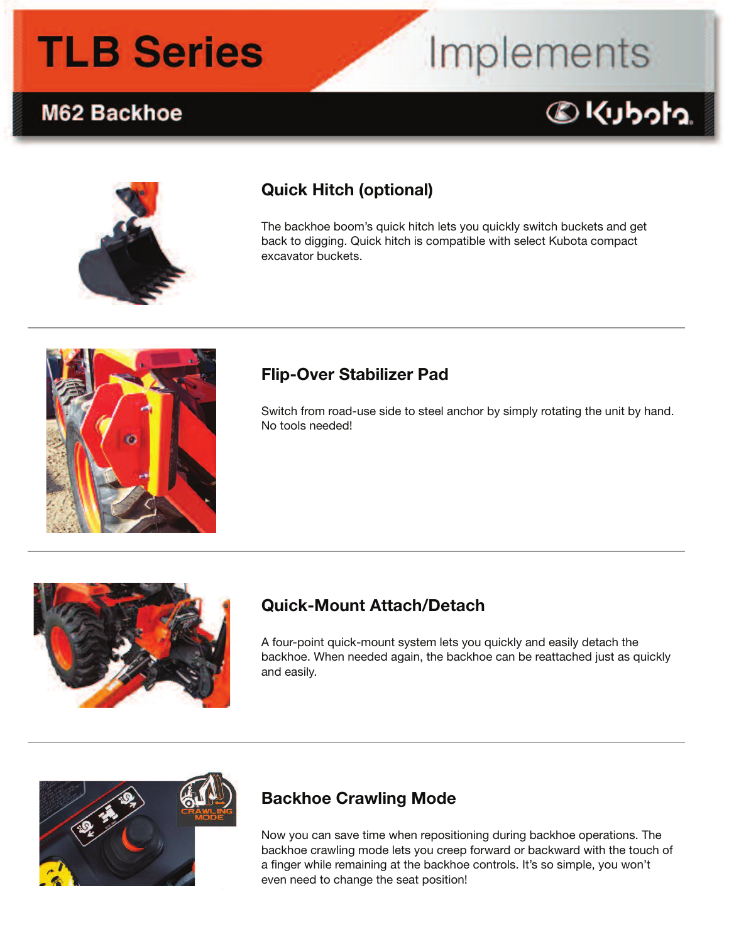### M62 Backhoe

### **Quick Hitch (optional)**

The backhoe boom's quick hitch lets you quickly switch buckets and get back to digging. Quick hitch is compatible with select Kubota compact excavator buckets.

Implements

@Kubota.



### **Flip-Over Stabilizer Pad**

Switch from road-use side to steel anchor by simply rotating the unit by hand. No tools needed!



### **Quick-Mount Attach/Detach**

A four-point quick-mount system lets you quickly and easily detach the backhoe. When needed again, the backhoe can be reattached just as quickly and easily.



### **Backhoe Crawling Mode**

Now you can save time when repositioning during backhoe operations. The backhoe crawling mode lets you creep forward or backward with the touch of a finger while remaining at the backhoe controls. It's so simple, you won't even need to change the seat position!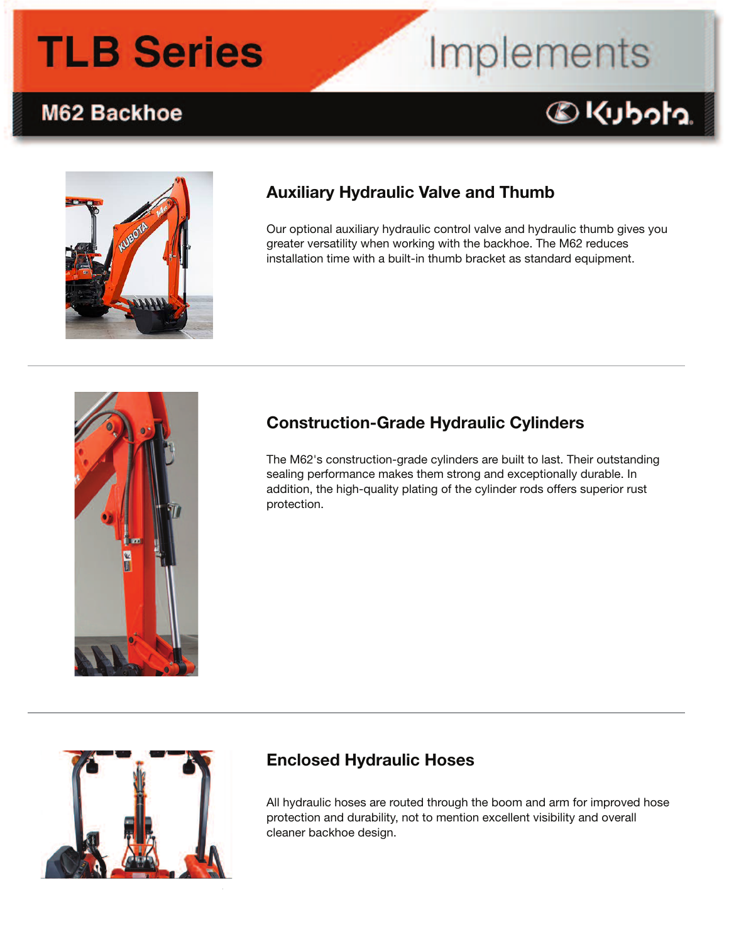# Implements

### M62 Backhoe





### **Auxiliary Hydraulic Valve and Thumb**

Our optional auxiliary hydraulic control valve and hydraulic thumb gives you greater versatility when working with the backhoe. The M62 reduces installation time with a built-in thumb bracket as standard equipment.



### **Construction-Grade Hydraulic Cylinders**

The M62's construction-grade cylinders are built to last. Their outstanding sealing performance makes them strong and exceptionally durable. In addition, the high-quality plating of the cylinder rods offers superior rust protection.



### **Enclosed Hydraulic Hoses**

All hydraulic hoses are routed through the boom and arm for improved hose protection and durability, not to mention excellent visibility and overall cleaner backhoe design.